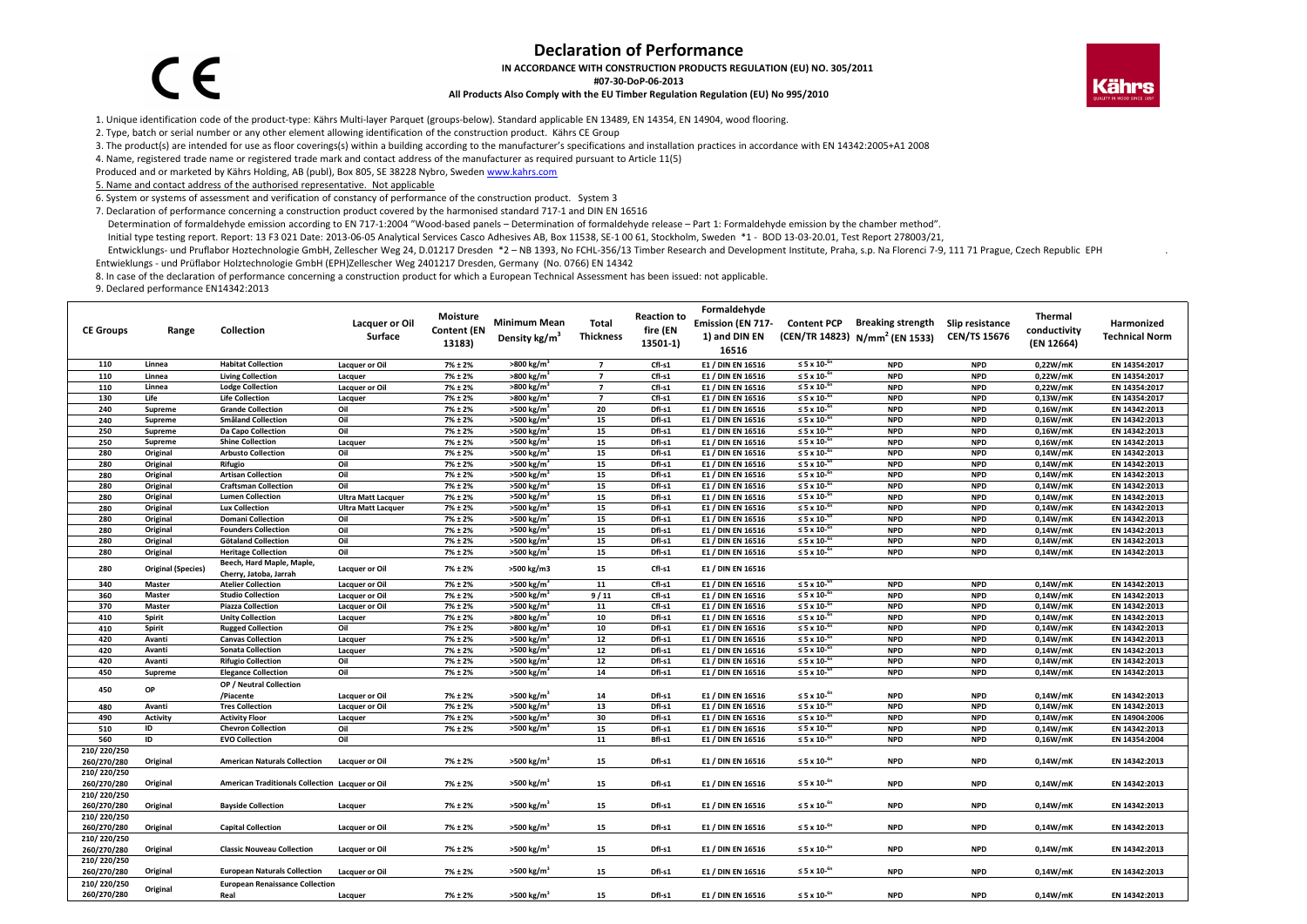## **Declaration of Performance**

**IN ACCORDANCE WITH CONSTRUCTION PRODUCTS REGULATION (EU) NO. 305/2011**

**#07‐30‐DoP‐06‐2013**

## **All Products Also Comply with the EU Timber Regulation Regulation (EU) No 995/2010**



1. Unique identification code of the product‐type: Kährs Multi‐layer Parquet (groups‐below). Standard applicable EN 13489, EN 14354, EN 14904, wood flooring.

2. Type, batch or serial number or any other element allowing identification of the construction product. Kährs CE Group

3. The product(s) are intended for use as floor coverings(s) within <sup>a</sup> building according to the manufacturer's specifications and installation practices in accordance with EN 14342:2005+A1 2008

4. Name, registered trade name or registered trade mark and contact address of the manufacturer as required pursuant to Article 11(5)

Produced and or marketed by Kährs Holding, AB (publ), Box 805, SE 38228 Nybro, Sweden www.kahrs.com

5. Name and contact address of the authorised representative. Not applicable

6. System or systems of assessment and verification of constancy of performance of the construction product. System 3

7. Declaration of performance concerning <sup>a</sup> construction product covered by the harmonised standard 717‐1 and DIN EN 16516

Determination of formaldehyde emission according to EN 717‐1:2004 "Wood‐based panels – Determination of formaldehyde release – Part 1: Formaldehyde emission by the chamber method".

Initial type testing report. Report: 13 F3 021 Date: 2013‐06‐05 Analytical Services Casco Adhesives AB, Box 11538, SE‐1 00 61, Stockholm, Sweden \*1 ‐ BOD 13‐03‐20.01, Test Report 278003/21,

Entwicklungs- und Pruflabor Hoztechnologie GmbH, Zellescher Weg 24, D.01217 Dresden \*2 - NB 1393, No FCHL-356/13 Timber Research and Development Institute, Praha, s.p. Na Florenci 7-9, 111 71 Prague, Czech Republic EPH Entwieklungs ‐ und Prüflabor Holztechnologie GmbH (EPH)Zellescher Weg 2401217 Dresden, Germany (No. 0766) EN 14342

8. In case of the declaration of performance concerning <sup>a</sup> construction product for which <sup>a</sup> European Technical Assessment has been issued: not applicable.

9. Declared performance EN14342:2013

 $\epsilon$ 

| <b>CE Groups</b> | Range                     | Collection                                          | <b>Lacquer or Oil</b><br>Surface | Moisture<br><b>Content (EN</b><br>13183) | <b>Minimum Mean</b><br>Density kg/m <sup>3</sup> | Total<br><b>Thickness</b> | <b>Reaction to</b><br>fire (EN<br>13501-1) | Formaldehyde<br>Emission (EN 717-<br>1) and DIN EN<br>16516 | <b>Content PCP</b>              | <b>Breaking strength</b><br>(CEN/TR 14823) N/mm <sup>2</sup> (EN 1533) | Slip resistance<br><b>CEN/TS 15676</b> | Thermal<br>conductivity<br>(EN 12664) | Harmonized<br><b>Technical Norm</b> |
|------------------|---------------------------|-----------------------------------------------------|----------------------------------|------------------------------------------|--------------------------------------------------|---------------------------|--------------------------------------------|-------------------------------------------------------------|---------------------------------|------------------------------------------------------------------------|----------------------------------------|---------------------------------------|-------------------------------------|
| 110              | Linnea                    | <b>Habitat Collection</b>                           | Lacquer or Oil                   | 7% ± 2%                                  | $>800 \text{ kg/m}^3$                            | $\overline{7}$            | Cfl-s1                                     | E1 / DIN EN 16516                                           | ≤ 5 x 10- $6n$                  | <b>NPD</b>                                                             | <b>NPD</b>                             | 0,22W/mK                              | EN 14354:2017                       |
| 110              | Linnea                    | <b>Living Collection</b>                            | Lacquer                          | $7\% \pm 2\%$                            | >800 kg/m                                        | $\overline{7}$            | Cfl-s1                                     | E1 / DIN EN 16516                                           | $\leq$ 5 x 10- $\mathrm{^{6}}$  | <b>NPD</b>                                                             | <b>NPD</b>                             | 0,22W/mK                              | EN 14354:2017                       |
| 110              | Linnea                    | <b>Lodge Collection</b>                             | Lacquer or Oil                   | 7% ± 2%                                  | >800 kg/m                                        | $\overline{7}$            | Cfl-s1                                     | E1 / DIN EN 16516                                           | ≤ 5 x 10- $5$                   | <b>NPD</b>                                                             | <b>NPD</b>                             | 0,22W/mK                              | EN 14354:2017                       |
| 130              | Life                      | <b>Life Collection</b>                              | Lacquer                          | 7% ± 2%                                  | $>800$ kg/m <sup>3</sup>                         | $\overline{7}$            | Cfl-s1                                     | E1 / DIN EN 16516                                           | ≤ 5 x 10- $5$                   | <b>NPD</b>                                                             | <b>NPD</b>                             | 0,13W/mK                              | EN 14354:2017                       |
| 240              | Supreme                   | <b>Grande Collection</b>                            | Oil                              | $7\% \pm 2\%$                            | >500 kg/m                                        | 20                        | Dfl-s1                                     | E1 / DIN EN 16516                                           | $\leq$ 5 x 10- $\mathrm{^{6}}$  | <b>NPD</b>                                                             | <b>NPD</b>                             | 0,16W/mK                              | EN 14342:2013                       |
| 240              | Supreme                   | <b>Småland Collection</b>                           | Oil                              | 7% ± 2%                                  | >500 kg/m                                        | 15                        | Dfl-s1                                     | E1 / DIN EN 16516                                           | ≤ 5 x 10- $6$                   | <b>NPD</b>                                                             | <b>NPD</b>                             | 0,16W/mK                              | EN 14342:2013                       |
| 250              | Supreme                   | Da Capo Collection                                  | Oil                              | 7% ± 2%                                  | >500 kg/m                                        | 15                        | Dfl-s1                                     | E1 / DIN EN 16516                                           | ≤ 5 x 10- $6$                   | <b>NPD</b>                                                             | <b>NPD</b>                             | 0,16W/mK                              | EN 14342:2013                       |
| 250              | Supreme                   | <b>Shine Collection</b>                             | Lacquer                          | 7% ± 2%                                  | >500 kg/m                                        | 15                        | Dfl-s1                                     | E1 / DIN EN 16516                                           | $\leq$ 5 x 10- $\frac{65}{2}$   | <b>NPD</b>                                                             | <b>NPD</b>                             | 0,16W/mK                              | EN 14342:2013                       |
| 280              | Original                  | <b>Arbusto Collection</b>                           | Oil                              | 7% ± 2%                                  | >500 kg/m                                        | 15                        | Dfl-s1                                     | E1 / DIN EN 16516                                           | $\leq$ 5 x 10- $\mathrm{^{6r}}$ | <b>NPD</b>                                                             | <b>NPD</b>                             | 0,14W/mK                              | EN 14342:2013                       |
| 280              | Original                  | Rifugio                                             | Oil                              | $7\% \pm 2\%$                            | >500 kg/m                                        | 15                        | Dfl-s1                                     | E1 / DIN EN 16516                                           | ≤ 5 x 10- $6n$                  | <b>NPD</b>                                                             | <b>NPD</b>                             | 0.14W/mK                              | EN 14342:2013                       |
| 280              | Original                  | <b>Artisan Collection</b>                           | Oil                              | $7\% \pm 2\%$                            | >500 kg/m                                        | 15                        | Dfl-s1                                     | E1 / DIN EN 16516                                           | $\leq$ 5 x 10- $\mathrm{^{6}}$  | <b>NPD</b>                                                             | <b>NPD</b>                             | 0,14W/mK                              | EN 14342:2013                       |
| 280              | Original                  | <b>Craftsman Collection</b>                         | Oil                              | $7\% \pm 2\%$                            | $>500$ kg/m <sup>3</sup>                         | 15                        | Dfl-s1                                     | E1 / DIN EN 16516                                           | $\leq$ 5 x 10- $\mathrm{^{6}}$  | <b>NPD</b>                                                             | <b>NPD</b>                             | 0,14W/mK                              | EN 14342:2013                       |
| 280              | Original                  | <b>Lumen Collection</b>                             | <b>Ultra Matt Lacquer</b>        | 7% ± 2%                                  | >500 kg/m                                        | 15                        | Dfl-s1                                     | E1 / DIN EN 16516                                           | $\leq$ 5 x 10- $\mathrm{^{6}}$  | <b>NPD</b>                                                             | <b>NPD</b>                             | 0,14W/mK                              | EN 14342:2013                       |
| 280              | Original                  | <b>Lux Collection</b>                               | <b>Ultra Matt Lacquer</b>        | 7% ± 2%                                  | >500 kg/m                                        | 15                        | Dfl-s1                                     | E1 / DIN EN 16516                                           | ≤ 5 x 10- $6$                   | <b>NPD</b>                                                             | <b>NPD</b>                             | 0,14W/mK                              | EN 14342:2013                       |
| 280              | Original                  | <b>Domani Collection</b>                            | Oil                              | 7% ± 2%                                  | $>500$ kg/m <sup>3</sup>                         | 15                        | Dfl-s1                                     | E1 / DIN EN 16516                                           | $≤ 5 × 10-6$                    | <b>NPD</b>                                                             | <b>NPD</b>                             | 0,14W/mK                              | EN 14342:2013                       |
| 280              | Original                  | <b>Founders Collection</b>                          | Oil                              | $7\% \pm 2\%$                            | >500 kg/m                                        | 15                        | Dfl-s1                                     | E1 / DIN EN 16516                                           | $\leq$ 5 x 10- $\mathrm{^{6}}$  | <b>NPD</b>                                                             | <b>NPD</b>                             | 0,14W/mK                              | EN 14342:2013                       |
| 280              | Original                  | <b>Götaland Collection</b>                          | Oil                              | 7% ± 2%                                  | >500 kg/m                                        | 15                        | Dfl-s1                                     | E1 / DIN EN 16516                                           | ≤ 5 x 10- $6$                   | <b>NPD</b>                                                             | <b>NPD</b>                             | 0,14W/mK                              | EN 14342:2013                       |
| 280              | Original                  | <b>Heritage Collection</b>                          | Oil                              | 7% ± 2%                                  | $>500$ kg/m <sup>3</sup>                         | 15                        | Dfl-s1                                     | E1 / DIN EN 16516                                           | ≤ 5 x 10- $6$                   | <b>NPD</b>                                                             | <b>NPD</b>                             | 0,14W/mK                              | EN 14342:2013                       |
| 280              | <b>Original (Species)</b> | Beech, Hard Maple, Maple,<br>Cherry, Jatoba, Jarrah | <b>Lacquer or Oil</b>            | 7% ± 2%                                  | >500 kg/m3                                       | 15                        | Cfl-s1                                     | E1 / DIN EN 16516                                           |                                 |                                                                        |                                        |                                       |                                     |
| 340              | Master                    | <b>Atelier Collection</b>                           | <b>Lacquer or Oil</b>            | $7\% \pm 2\%$                            | $>500$ kg/m <sup>3</sup>                         | 11                        | Cfl-s1                                     | E1 / DIN EN 16516                                           | $\leq$ 5 x 10- $\mathrm{^{6}}$  | <b>NPD</b>                                                             | <b>NPD</b>                             | 0,14W/mK                              | EN 14342:2013                       |
| 360              | Master                    | <b>Studio Collection</b>                            | <b>Lacquer or Oil</b>            | $7\% \pm 2\%$                            | >500 kg/m                                        | 9/11                      | Cfl-s1                                     | E1 / DIN EN 16516                                           | $\leq$ 5 x 10- $\mathrm{^{6}}$  | <b>NPD</b>                                                             | <b>NPD</b>                             | 0,14W/mK                              | EN 14342:2013                       |
| 370              | Master                    | <b>Piazza Collection</b>                            | <b>Lacquer or Oil</b>            | 7% ± 2%                                  | >500 kg/m                                        | 11                        | Cfl-s1                                     | E1 / DIN EN 16516                                           | ≤ 5 x 10- $6t$                  | <b>NPD</b>                                                             | <b>NPD</b>                             | 0,14W/mK                              | EN 14342:2013                       |
| 410              | Spirit                    | <b>Unity Collection</b>                             | Lacquer                          | 7% ± 2%                                  | >800 kg/m                                        | 10                        | Dfl-s1                                     | E1 / DIN EN 16516                                           | $≤ 5 × 10-6$                    | <b>NPD</b>                                                             | <b>NPD</b>                             | 0,14W/mK                              | EN 14342:2013                       |
| 410              | <b>Spirit</b>             | <b>Rugged Collection</b>                            | Oil                              | 7% ± 2%                                  | >800 kg/m                                        | 10                        | Dfl-s1                                     | E1 / DIN EN 16516                                           | $\leq$ 5 x 10- $\mathrm{^{6}}$  | <b>NPD</b>                                                             | <b>NPD</b>                             | 0,14W/mK                              | EN 14342:2013                       |
| 420              | Avanti                    | <b>Canvas Collection</b>                            | Lacquer                          | 7% ± 2%                                  | >500 kg/m <sup>3</sup>                           | 12                        | Dfl-s1                                     | E1 / DIN EN 16516                                           | $\leq$ 5 x 10- $\mathrm{^{6}}$  | <b>NPD</b>                                                             | <b>NPD</b>                             | 0,14W/mK                              | EN 14342:2013                       |
| 420              | Avanti                    | <b>Sonata Collection</b>                            | Lacquer                          | 7% ± 2%                                  | >500 kg/m                                        | 12                        | Dfl-s1                                     | E1 / DIN EN 16516                                           | $\leq$ 5 x 10- $\mathrm{^{6r}}$ | <b>NPD</b>                                                             | <b>NPD</b>                             | 0,14W/mK                              | EN 14342:2013                       |
| 420              | Avanti                    | <b>Rifugio Collection</b>                           | Oil                              | 7% ± 2%                                  | >500 kg/m                                        | 12                        | Dfl-s1                                     | E1 / DIN EN 16516                                           | ≤ 5 x 10- $6n$                  | <b>NPD</b>                                                             | <b>NPD</b>                             | 0,14W/mK                              | EN 14342:2013                       |
| 450              | Supreme                   | <b>Elegance Collection</b>                          | Oil                              | $7\% \pm 2\%$                            | $>500$ kg/m <sup>3</sup>                         | 14                        | Dfl-s1                                     | E1 / DIN EN 16516                                           | $\leq$ 5 x 10- $\mathrm{^{6}}$  | <b>NPD</b>                                                             | <b>NPD</b>                             | 0,14W/mK                              | EN 14342:2013                       |
| 450              | OP                        | OP / Neutral Collection                             |                                  |                                          |                                                  |                           |                                            |                                                             |                                 |                                                                        |                                        |                                       |                                     |
|                  |                           | /Piacente                                           | <b>Lacquer or Oil</b>            | 7% ± 2%                                  | $>500$ kg/m <sup>3</sup>                         | 14                        | Dfl-s1                                     | E1 / DIN EN 16516                                           | ≤ 5 x 10- $6n$                  | <b>NPD</b>                                                             | <b>NPD</b>                             | 0,14W/mK                              | EN 14342:2013                       |
| 480              | Avanti                    | <b>Tres Collection</b>                              | <b>Lacquer or Oil</b>            | 7% ± 2%                                  | >500 kg/m                                        | 13                        | Dfl-s1                                     | E1 / DIN EN 16516                                           | $\leq$ 5 x 10- $\mathrm{^{6r}}$ | <b>NPD</b>                                                             | <b>NPD</b>                             | 0,14W/mK                              | EN 14342:2013                       |
| 490              | Activity                  | <b>Activity Floor</b>                               | Lacquer                          | 7% ± 2%                                  | >500 kg/m                                        | 30                        | Dfl-s1                                     | E1 / DIN EN 16516                                           | ≤ 5 x 10- $6n$                  | <b>NPD</b>                                                             | <b>NPD</b>                             | 0,14W/mK                              | EN 14904:2006                       |
| 510              | ID                        | <b>Chevron Collection</b>                           | Oil                              | $7\% \pm 2\%$                            | $>500$ kg/m <sup>3</sup>                         | 15                        | Dfl-s1                                     | E1 / DIN EN 16516                                           | $\leq$ 5 x 10- $\mathrm{^{6}}$  | <b>NPD</b>                                                             | <b>NPD</b>                             | 0,14W/mK                              | EN 14342:2013                       |
| 560              | ID                        | <b>EVO Collection</b>                               | Oil                              |                                          |                                                  | 11                        | Bfl-s1                                     | E1 / DIN EN 16516                                           | $\leq$ 5 x 10- $^6$             | <b>NPD</b>                                                             | <b>NPD</b>                             | 0,16W/mK                              | EN 14354:2004                       |
| 210/220/250      |                           |                                                     |                                  |                                          |                                                  |                           |                                            |                                                             |                                 |                                                                        |                                        |                                       |                                     |
| 260/270/280      | Original                  | <b>American Naturals Collection</b>                 | <b>Lacquer or Oil</b>            | $7\% \pm 2\%$                            | $>500$ kg/m <sup>3</sup>                         | 15                        | Dfl-s1                                     | E1 / DIN EN 16516                                           | ≤ 5 x 10- $6n$                  | <b>NPD</b>                                                             | <b>NPD</b>                             | 0,14W/mK                              | EN 14342:2013                       |
| 210/220/250      |                           |                                                     |                                  |                                          |                                                  |                           |                                            |                                                             |                                 |                                                                        |                                        |                                       |                                     |
| 260/270/280      | Original                  | American Traditionals Collection Lacquer or Oil     |                                  | 7% ± 2%                                  | $>500$ kg/m <sup>3</sup>                         | 15                        | Dfl-s1                                     | E1 / DIN EN 16516                                           | $\leq$ 5 x 10- $\rm ^{6n}$      | <b>NPD</b>                                                             | <b>NPD</b>                             | 0,14W/mK                              | EN 14342:2013                       |
| 210/220/250      |                           |                                                     |                                  |                                          |                                                  |                           |                                            |                                                             |                                 |                                                                        |                                        |                                       |                                     |
| 260/270/280      | Original                  | <b>Bayside Collection</b>                           | Lacquer                          | 7% ± 2%                                  | $>500$ kg/m <sup>3</sup>                         | 15                        | Dfl-s1                                     | E1 / DIN EN 16516                                           | $\leq$ 5 x 10- $\rm ^{6n}$      | <b>NPD</b>                                                             | <b>NPD</b>                             | 0,14W/mK                              | EN 14342:2013                       |
| 210/220/250      |                           |                                                     |                                  |                                          |                                                  |                           |                                            |                                                             |                                 |                                                                        |                                        |                                       |                                     |
| 260/270/280      | Original                  | <b>Capital Collection</b>                           | <b>Lacquer or Oil</b>            | 7% ± 2%                                  | $>500$ kg/m <sup>3</sup>                         | 15                        | Dfl-s1                                     | E1 / DIN EN 16516                                           | ≤ 5 x 10- $6n$                  | <b>NPD</b>                                                             | <b>NPD</b>                             | 0,14W/mK                              | EN 14342:2013                       |
| 210/220/250      |                           |                                                     |                                  |                                          |                                                  |                           |                                            |                                                             |                                 |                                                                        |                                        |                                       |                                     |
| 260/270/280      | Original                  | <b>Classic Nouveau Collection</b>                   | Lacquer or Oil                   | 7% ± 2%                                  | $>500$ kg/m <sup>3</sup>                         | 15                        | Dfl-s1                                     | E1 / DIN EN 16516                                           | ≤ 5 x 10- $6n$                  | <b>NPD</b>                                                             | <b>NPD</b>                             | 0,14W/mK                              | EN 14342:2013                       |
| 210/220/250      |                           |                                                     |                                  |                                          |                                                  |                           |                                            |                                                             |                                 |                                                                        |                                        |                                       |                                     |
| 260/270/280      | Original                  | <b>European Naturals Collection</b>                 | Lacquer or Oil                   | 7% ± 2%                                  | $>500$ kg/m <sup>3</sup>                         | 15                        | Dfl-s1                                     | E1 / DIN EN 16516                                           | ≤ 5 x 10- $6n$                  | <b>NPD</b>                                                             | <b>NPD</b>                             | 0,14W/mK                              | EN 14342:2013                       |
| 210/220/250      | Original                  | <b>European Renaissance Collection</b>              |                                  |                                          |                                                  |                           |                                            |                                                             |                                 |                                                                        |                                        |                                       |                                     |
| 260/270/280      |                           | Real                                                | Lacquer                          | 7% ± 2%                                  | $>500$ kg/m <sup>3</sup>                         | 15                        | Dfl-s1                                     | E1 / DIN EN 16516                                           | $\leq$ 5 x 10- $\mathrm{^{6n}}$ | <b>NPD</b>                                                             | <b>NPD</b>                             | 0,14W/mK                              | EN 14342:2013                       |
|                  |                           |                                                     |                                  |                                          |                                                  |                           |                                            |                                                             |                                 |                                                                        |                                        |                                       |                                     |